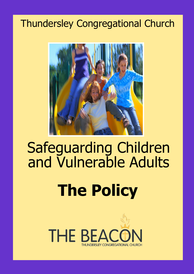# Thundersley Congregational Church



## <u>ulnerable</u> Safeguarding Children and Vulnerable Adults

# **The Policy**

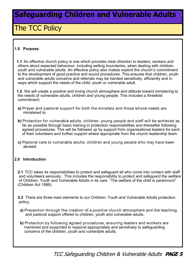### The TCC Policy

#### **1.0 Purpose**

 **1.1** An effective church policy is one which provides clear direction to leaders, workers and others about expected behaviour, including setting boundaries, when dealing with children, youth and vulnerable adults. An effective policy also makes explicit the church's commitment to the development of good practice and sound procedures. This ensures that children, youth and vulnerable adults concerns and referrals may be handed sensitively, efficiently and in ways which support the needs of the child, youth or vulnerable adult.

 **1.2** We will create a positive and loving church atmosphere and attitude toward ministering to the needs of vulnerable adults, children and young people. This includes a threefold commitment:

- **a)** Prayer and pastoral support for both the minsters and those whose needs are ministered to.
- **b)** Protection for vulnerable adults, children, young people and staff will be achieved as far as possible through basic training in protection responsibilities and thereafter following agreed procedures. This will be followed up by support from organisational leaders for each of their volunteers and further support where appropriate from the church leadership team.
- **c)** Pastoral care to vulnerable adults, children and young people who may have been abused.

#### **2.0 Introduction**

 **2.1** TCC takes its responsibilities to protect and safeguard all who come into contact with staff and volunteers seriously. This includes the responsibility to protect and safeguard the welfare of Children, Youth and Vulnerable Adults in its care. "The welfare of the child is paramount" (Children Act 1989).

 **2.2** There are three main elements to our Children, Youth and Vulnerable Adults protection policy;

- **a)** Prevention through the creation of a positive church atmosphere and the teaching, and pastoral support offered to children, youth and vulnerable adults.
- **b)** Protection by following agreed procedures, ensuring leaders and workers are mentored and supported to respond appropriately and sensitively to safeguarding concerns of the children, youth and vulnerable adults.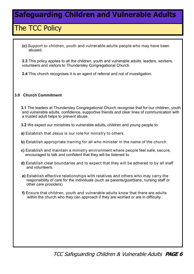#### The TCC Policy

 **(c)** Support to children, youth and vulnerable adults people who may have been abused.

 **2.3** This policy applies to all the children, youth and vulnerable adults, leaders, workers, volunteers and visitors to Thundersley Congregational Church.

 **2.4** This church recognises it is an agent of referral and not of investigation.

#### **3.0 Church Commitment**

**3.1** The leaders at Thundersley Congregational Church recognise that for our children, youth and vulnerable adults, confidence, supportive friends and clear lines of communication with a trusted adult helps to prevent abuse.

- **3.2** We expect our ministries to vulnerable adults, children and young people to:
- **a)** Establish that Jesus is our role for ministry to others.
- **b)** Establish appropriate training for all who minister in the name of the church.
- **c)** Establish and maintain a ministry environment where people feel safe, secure, encouraged to talk and confident that they will be listened to.
- **d)** Establish clear boundaries and to expect that they will be adhered to by all staff and volunteers.
- **e)** Establish effective relationships with relatives and others who may carry the responsibility of care for the individuals (such as parents/guardians, nursing staff or other care providers)
- **f)** Ensure that children, youth and vulnerable adults know that there are adults within the church who they can approach if they are worried or are in difficulty.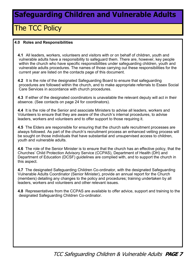### The TCC Policy

#### **4.0 Roles and Responsibilities**

 **4.1** All leaders, workers, volunteers and visitors with or on behalf of children, youth and vulnerable adults have a responsibility to safeguard them. There are, however, key people within the church who have specific responsibilities under safeguarding children, youth and vulnerable adults procedures. The names of those carrying out these responsibilities for the current year are listed on the contacts page of this document.

 **4.2** It is the role of the designated Safeguarding Board to ensure that safeguarding procedures are followed within the church, and to make appropriate referrals to Essex Social Care Services in accordance with church procedures.

 **4.3** If either of the designated coordinators is unavailable the relevant deputy will act in their absence. (See contacts on page 24 for coordinators).

 **4.4** It is the role of the Senior and associate Ministers to advise all leaders, workers and Volunteers to ensure that they are aware of the church's internal procedures, to advise leaders, workers and volunteers and to offer support to those requiring it.

 **4.5** The Elders are responsible for ensuring that the church safe recruitment processes are always followed. As part of the church's recruitment process an enhanced vetting process will be sought on those individuals that have substantial and unsupervised access to children, youth and vulnerable adults.

 **4.6** The role of the Senior Minister is to ensure that the church has an effective policy, that the Churches' Child Protection Advisory Service (CCPAS), Department of Health (DH) and Department of Education (DCSF) guidelines are complied with, and to support the church in this aspect.

 **4.7** The designated Safeguarding Children Co-ordinator, with the designated Safeguarding Vulnerable Adults Coordinator (Senior Minister), provide an annual report for the Church (members) detailing any changes to the policy and procedures; training undertaken by all leaders, workers and volunteers and other relevant issues.

 **4.8** Representatives from the CCPAS are available to offer advice, support and training to the designated Safeguarding Children Co-ordinator.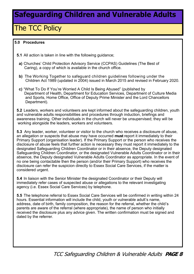### The TCC Policy

#### **5.0 Procedures**

- **5.1** All action is taken in line with the following guidance;
	- **a)** Churches' Child Protection Advisory Service (CCPAS) Guidelines (The Best of Caring), a copy of which is available in the church office.
	- **b)** The Working Together to safeguard children guidelines following under the Children Act 1989 (updated in 2004) issued in March 2015 and revised in February 2020.
	- **c)** "What To Do If You're Worried A Child Is Being Abused" (published by Department of Health, Department for Education Services, Department of Culture Media and Sports, Home Office, Office of Deputy Prime Minister and the Lord Chancellors Department).

 **5.2** Leaders, workers and volunteers are kept informed about the safeguarding children, youth and vulnerable adults responsibilities and procedures through induction, briefings and awareness training. Other individuals in the church will never be unsupervised; they will be working alongside the leaders, workers and volunteers.

 **5.3** Any leader, worker, volunteer or visitor to the church who receives a disclosure of abuse, an allegation or suspects that abuse may have occurred **must** report it immediately to their Primary Support (organisation leader). If the Primary Support or the person who receives the disclosure of abuse feels that further action is necessary they must report it immediately to the designated Safeguarding Children Coordinator or in their absence, the Deputy designated Safeguarding Children Coordinator, or the designated Vulnerable Adults Coordinator or in their absence, the Deputy designated Vulnerable Adults Coordinator as appropriate. In the event of no one being contactable then the person (and/or their Primary Support) who receives the disclosure can refer the suspicion directly to Essex Social Care Services, if the matter is considered urgent.

 **5.4** In liaison with the Senior Minister the designated Coordinator or their Deputy will immediately refer cases of suspected abuse or allegations to the relevant investigating agency (i.e. Essex Social Care Services) by telephone.

 **5.5** The telephone referral to Essex Social Care Services will be confirmed in writing within 24 hours. Essential information will include the child, youth or vulnerable adult's name, address, date of birth, family composition, the reason for the referral, whether the child's parents are aware of the referral (where appropriate), the name of person who initially received the disclosure plus any advice given. The written confirmation must be signed and dated by the referrer.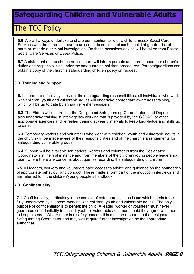### The TCC Policy

 **5.6** We will always undertake to share our intention to refer a child to Essex Social Care Services with the parents or carers unless to do so could place the child at greater risk of harm or impede a criminal investigation. On these occasions advice will be taken from Essex Social Care Services or Essex Police.

 **5.7** A statement on the church notice board will inform parents and carers about our church's duties and responsibilities under the safeguarding children procedures. Parents/guardians can obtain a copy of the church's safeguarding children policy on request.

#### **6.0 Training and Support**

 **6.1** In order to effectively carry out their safeguarding responsibilities, all individuals who work with children, youth and vulnerable adults will undertake appropriate awareness training, which will be up to date by annual refresher sessions.

 **6.2** The Elders will ensure that the Designated Safeguarding Co-ordinators and Deputies, also undertake training in inter-agency working that is provided by the CCPAS, or other appropriate agencies and refresher training at yearly intervals to keep knowledge and skills up to date.

 **6.3** Temporary workers and volunteers who work with children, youth and vulnerable adults in the church will be made aware of their responsibilities and of the church's arrangements for safeguarding vulnerable groups.

 **6.4** Support will be available for leaders, workers and volunteers from the Designated Coordinators in the first instance and from members of the children/young people leadership team where there are concerns about queries regarding the safeguarding of children.

 **6.5** All leaders, workers and volunteers have access to advice and guidance on the boundaries of appropriate behaviour and conduct. These matters form part of the induction interviews and are referred to in the children/young people's handbook.

#### **7.0 Confidentiality**

 **7.1** Confidentiality, particularly in the context of safeguarding is an issue which needs to be fully understood by all those working with children, youth and vulnerable adults. The only purpose of confidentiality is to benefit the child. A leader, worker or volunteer must never guarantee confidentiality to a child, youth or vulnerable adult nor should they agree with them to keep a secret. Where there is a safety concern this must be reported to the designated Safeguarding Coordinator and may well require further investigation by the appropriate authorities.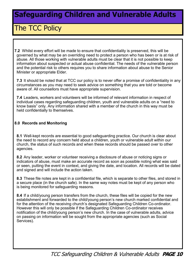### The TCC Policy

**7.2** Whilst every effort will be made to ensure that confidentiality is preserved, this will be governed by what may be an overriding need to protect a person who has been or is at risk of abuse. All those working with vulnerable adults must be clear that it is not possible to keep information about suspected or actual abuse confidential. The needs of the vulnerable person and the potential risk to others requires you to share information about abuse to the Senior Minister or appropriate Elder.

 **7.3** It should be noted that at TCC our policy is to never offer a promise of confidentiality in any circumstances as you may need to seek advice on something that you are told or become aware of. All counsellors must have appropriate supervision.

 **7.4** Leaders, workers and volunteers will be informed of relevant information in respect of individual cases regarding safeguarding children, youth and vulnerable adults on a "need to know basis" only. Any information shared with a member of the church in this way must be held confidentially to themselves.

#### **8.0 Records and Monitoring**

 **8.1** Well-kept records are essential to good safeguarding practice. Our church is clear about the need to record any concern held about a children, youth or vulnerable adult within our church, the status of such records and when these records should be passed over to other agencies.

 **8.2** Any leader, worker or volunteer receiving a disclosure of abuse or noticing signs or indicators of abuse, must make an accurate record as soon as possible noting what was said or seen, putting the event in context, and giving the date, and location. All records will be dated and signed and will include the action taken.

 **8.3** These file notes are kept in a confidential file, which is separate to other files, and stored in a secure place (in the church safe). In the same way notes must be kept of any person who is being monitored for safeguarding reasons.

 **8.4** If a child/young person transfers from the church, these files will be copied for the new establishment and forwarded to the child/young person's new church marked confidential and for the attention of the receiving church's designated Safeguarding Children Co-ordinator. However this will only be possible if the Safeguarding Children Co-ordinator receives notification of the child/young person's new church. In the case of vulnerable adults, advice on passing on information will be sought from the appropriate agencies (such as Social Services).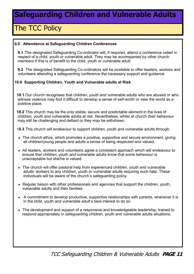### The TCC Policy

#### 9**.0 Attendance at Safeguarding Children Conferences**

 **9.1** The designated Safeguarding Co-ordinator will, if required, attend a conference called in respect of a child, youth or vulnerable adult. They may be accompanied by other church members if this is of benefit to the child, youth or vulnerable adult.

 **9.2** The designated Safeguarding Co-ordinators will be available to offer leaders, workers and volunteers attending a safeguarding conference the necessary support and guidance.

#### **10.0 Supporting Children, Youth and Vulnerable adults at Risk**

 **10.1** Our church recognises that children, youth and vulnerable adults who are abused or who witness violence may find it difficult to develop a sense of self-worth or view the world as a positive place.

 **10.2** This church may be the only stable, secure and predictable element in the lives of children, youth and vulnerable adults at risk. Nevertheless, whilst at church their behaviour may still be challenging and defiant or they may be withdrawn.

1**0.3** This church will endeavour to support children, youth and vulnerable adults through:

- The church ethos, which promotes a positive, supportive and secure environment, giving all children/young people and adults a sense of being respected and valued.
- All leaders, workers and volunteers agree a consistent approach which will endeavour to ensure that children, youth and vulnerable adults know that some behaviour is unacceptable but she/he is valued.
- The church will offer pastoral help from experienced children, youth and vulnerable adults' workers to any children, youth or vulnerable adults requiring such help. These individuals will be aware of the church's safeguarding policy.
- Regular liaison with other professionals and agencies that support the children, youth, vulnerable adults and their families.
- A commitment to develop productive, supportive relationships with parents, whenever it is in the child, youth and vulnerable adult's best interest to do so.
- The development and support of a responsive and knowledgeable leadership, trained to respond appropriately in safeguarding children, youth and vulnerable adults situations.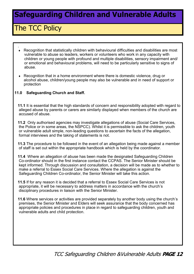### The TCC Policy

- . Recognition that statistically children with behavioural difficulties and disabilities are most vulnerable to abuse so leaders, workers or volunteers who work in any capacity with children or young people with profound and multiple disabilities, sensory impairment and/ or emotional and behavioural problems, will need to be particularly sensitive to signs of abuse.
- Recognition that in a home environment where there is domestic violence, drug or alcohol abuse, children/young people may also be vulnerable and in need of support or protection

#### **11.0 Safeguarding Church and Staff.**

 **11.1** It is essential that the high standards of concern and responsibility adopted with regard to alleged abuse by parents or carers are similarly displayed when members of the church are accused of abuse.

 **11.2** Only authorised agencies may investigate allegations of abuse (Social Care Services, the Police or in some areas, the NSPCC). Whilst it is permissible to ask the children, youth or vulnerable adult simple, non-leading questions to ascertain the facts of the allegation, formal interviews and the taking of statements is not.

 **11.3** The procedure to be followed in the event of an allegation being made against a member of staff is set out within the appropriate handbook which is held by the coordinator.

 **11.4** Where an allegation of abuse has been made the designated Safeguarding Children Co-ordinator should in the first instance contact the CCPAS. The Senior Minister should be kept informed. Through discussion and consultation, a decision will be made as to whether to make a referral to Essex Social Care Services. Where the allegation is against the Safeguarding Children Co-ordinator, the Senior Minister will take this action.

 **11.5** If for any reason it is decided that a referral to Essex Social Care Services is not appropriate, it will be necessary to address matters in accordance with the church's disciplinary procedures in liaison with the Senior Minister.

 **11.6** Where services or activities are provided separately by another body using the church's premises, the Senior Minister and Elders will seek assurance that the body concerned has appropriate policies and procedures in place in regard to safeguarding children, youth and vulnerable adults and child protection.

TCC Safeguarding Children &Vulnerable Adults **PAGE 12**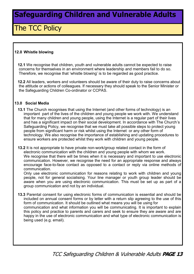#### The TCC Policy

#### **12.0 Whistle blowing**

 **12.1** We recognise that children, youth and vulnerable adults cannot be expected to raise concerns for themselves in an environment where leadership and members fail to do so. Therefore, we recognise that 'whistle blowing' is to be regarded as good practice.

 **12.2** All leaders, workers and volunteers should be aware of their duty to raise concerns about the attitude or actions of colleagues. If necessary they should speak to the Senior Minister or the Safeguarding Children Co-ordinator or CCPAS.

#### **13.0 Social Media**

- **13.1** The Church recognises that using the Internet (and other forms of technology) is an important part of the lives of the children and young people we work with. We understand that for many children and young people, using the Internet is a regular part of their lives and has a significant impact on their social development. In accordance with The Church's Safeguarding Policy, we recognise that we must take all possible steps to protect young people from significant harm or risk whilst using the Internet or any other form of technology. We also recognise the importance of establishing and updating procedures to ensure workers are protected whilst they work with children and young people.
- **13.2** It is not appropriate to have private non-work/group related contact in the form of electronic communication with the children and young people with whom we work. We recognise that there will be times when it is necessary and important to use electronic communication. However, we recognise the need for an appropriate response and always encourage face-to-face contact as opposed to a contact or reply via online methods of communication.

Only use electronic communication for reasons relating to work with children and young people, not for general socialising. Your line manager or youth group leader should be aware when you are using electronic communication. This must be set up as part of a group communication and not by an individual.

 **13.3** Parental consent for using electronic forms of communication is essential and should be included on annual consent forms or by letter with a return slip agreeing to the use of this form of communication. It should be outlined what means you will be using for communication and what information you will be communicating. It is important to explain this policy and practice to parents and carers and seek to ensure they are aware and are happy in the use of electronic communication and what type of electronic communication is being used (e.g. email).

TCC Safeguarding Children & Vulnerable Adults **PAGE 13**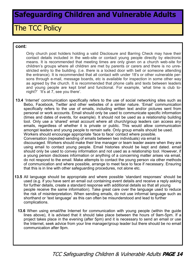#### The TCC Policy

#### **cont:**

Only church post holders holding a valid Disclosure and Barring Check may have their contact details included in the web-site or contact young people directly by electronic means. It is recommended that meeting times are only given on a church web-site for children's groups where all children are met by parents or carers and there is no unrestricted entry to the building. (i.e. there is a locked door with bell or someone attending the entrance). It is recommended that all contact with under 18's or other vulnerable persons through e-mail, message boards, etc is available for inspection in some other way as agreed by the church. It is recommended that phone calls and texts between leaders and young people are kept brief and functional. For example, 'what time is club tonight?' 'It's at 7, see you there'.

**13.4** 'Internet' communication specifically refers to the use of social networking sites such as Bebo, Facebook, Twitter and other websites of a similar nature. 'Email' communication specifically refers to the use of emails, including written text and/or pictures sent from personal or work accounts. Email should only be used to communicate specific information (times and dates of events, for example). It should not be used as a relationship building tool. Only use a 'shared' email account where all church/group leaders can access any emails, regardless of whether it is private or public. This would allow communication amongst leaders and young people to remain safe. Only group emails should be used. Workers should encourage appropriate 'face to face' contact where possible. Conversation (repeated sending of emails between two individuals) via email is discouraged. Workers should make their line manager or team leader aware when they are using email to contact young people. Email histories should be kept and dated. email should only be used to convey information and not used as a relationship tool. However, if a young person discloses information or anything of a concerning matter arises via email, do not respond to the email. Make attempts to contact the young person via other methods of communication and where possible, arrange to meet face to face if necessary. Ensuring that this is in line with other safeguarding procedures, not alone etc.

- **13.5** All language should be appropriate and where possible 'standard responses' should be used (e.g. if you have sent an email out containing event details and receive a reply asking for further details, create a standard response with additional details so that all young people receive the same information). Take great care over the language used to reduce the risk of misinterpretation. When sending emails, do not use informal language such as shorthand or 'text language' as this can often be misunderstood and lead to further complications.
	- **13.6** When using email/the Internet for communication with young people (within the guide lines above), it is advised that it should take place between the hours of 9am-5pm. If a project takes place in the evening (after 5pm) and it is necessary to send an email or use the Internet, seek advice from your line manager/group leader but there should be no email communication after 9pm.

TCC Safeguarding Children & Vulnerable Adults **PAGE 14**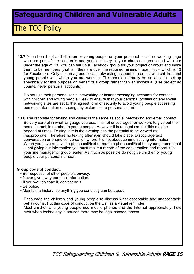#### The TCC Policy

 **13.7** You should not add children or young people on your personal social networking page who are part of the children's and youth ministry at your church or group and who are under the age of 18. You can set up a Facebook group for your project or group and invite them to be members (that is if they are over the required minimum age limit – which is 13 for Facebook). Only use an agreed social networking account for contact with children and young people with whom you are working. This should normally be an account set up specifically for this purpose on behalf of a group rather than an individual (use project ac counts, never personal accounts).

Do not use their personal social networking or instant messaging accounts for contact with children and young people. Seek to ensure that your personal profiles on any social networking sites are set to the highest form of security to avoid young people accessing personal information or seeing any pictures of a personal nature.

 **13.8** The rationale for texting and calling is the same as social networking and email contact. Be very careful in what language you use. It is not encouraged for workers to give out their personal mobile number to young people. However it is recognised that this may be needed at times. Texting late in the evening has the potential to be viewed as inappropriate. Therefore no texting after 9pm should take place. Discourage text conversation or phone conversation where it is not about communicating information. When you have received a phone call/text or made a phone call/text to a young person that is not giving out information you must make a record of the conversation and report it to your line manager or group leader. As much as possible do not give children or young people your personal number.

#### **Group code of conduct.**

- Be respectful of other people's privacy.
- Never give away personal information.
- If you wouldn't say it, don't send it.
- Be polite.
- Maintain a history, so anything you send/say can be traced.

Encourage the children and young people to discuss what acceptable and unacceptable behaviour is. Put this code of conduct on the wall as a visual reminder. Most children and young people use mobile phones and the Internet appropriately; how ever when technology is abused there may be legal consequences

TCC Safeguarding Children & Vulnerable Adults **PAGE 15**